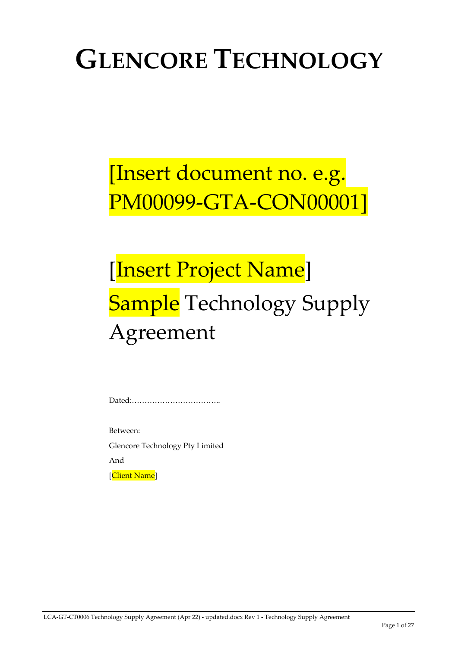# **GLENCORE TECHNOLOGY**

# [Insert document no. e.g. PM00099‐GTA‐CON00001]

# [Insert Project Name] **Sample** Technology Supply Agreement

Dated:……………………………..

Between:

Glencore Technology Pty Limited

And

[Client Name]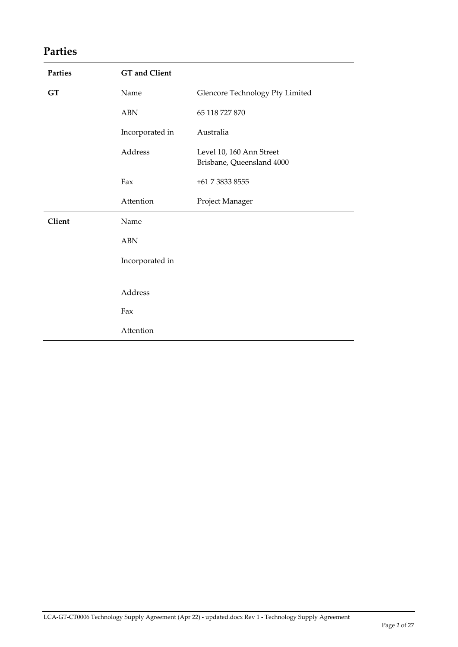## **Parties**

| <b>Parties</b> | <b>GT</b> and Client |                                                       |
|----------------|----------------------|-------------------------------------------------------|
| <b>GT</b>      | Name                 | Glencore Technology Pty Limited                       |
|                | <b>ABN</b>           | 65 118 727 870                                        |
|                | Incorporated in      | Australia                                             |
|                | Address              | Level 10, 160 Ann Street<br>Brisbane, Queensland 4000 |
|                | Fax                  | +61 7 3833 8555                                       |
|                | Attention            | Project Manager                                       |
| Client         | Name                 |                                                       |
|                | <b>ABN</b>           |                                                       |
|                | Incorporated in      |                                                       |
|                |                      |                                                       |
|                | Address              |                                                       |
|                | Fax                  |                                                       |
|                | Attention            |                                                       |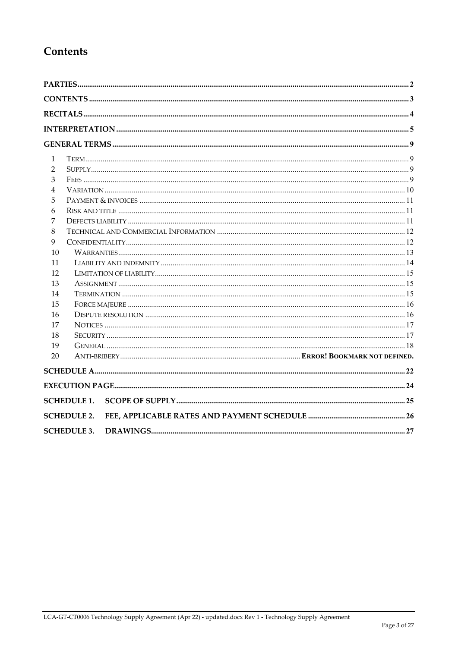## Contents

| 1              |                    |  |
|----------------|--------------------|--|
| 2              |                    |  |
| 3              |                    |  |
| $\overline{4}$ |                    |  |
| 5              |                    |  |
| 6              |                    |  |
| 7              |                    |  |
| 8              |                    |  |
| 9              |                    |  |
| 10             |                    |  |
| 11             |                    |  |
| 12             |                    |  |
| 13             |                    |  |
| 14             |                    |  |
| 15             |                    |  |
| 16             |                    |  |
| 17             |                    |  |
| 18             |                    |  |
| 19<br>20       |                    |  |
|                |                    |  |
|                |                    |  |
|                | <b>SCHEDULE 1.</b> |  |
|                | <b>SCHEDULE 2.</b> |  |
|                | <b>SCHEDULE 3.</b> |  |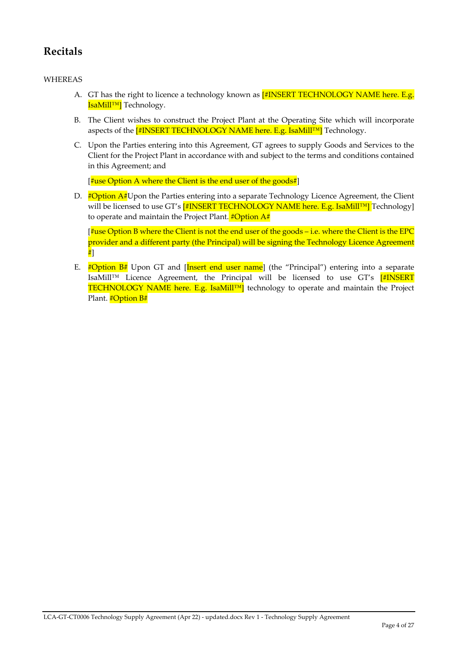## **Recitals**

#### WHEREAS

- A. GT has the right to licence a technology known as [#INSERT TECHNOLOGY NAME here. E.g. IsaMill™] Technology.
- B. The Client wishes to construct the Project Plant at the Operating Site which will incorporate aspects of the [#INSERT TECHNOLOGY NAME here. E.g. IsaMill™] Technology.
- C. Upon the Parties entering into this Agreement, GT agrees to supply Goods and Services to the Client for the Project Plant in accordance with and subject to the terms and conditions contained in this Agreement; and

 $\left[\frac{4}{3}\right]$  as Option A where the Client is the end user of the goods  $\frac{4}{3}$ 

D.  $\#$ Option A#Upon the Parties entering into a separate Technology Licence Agreement, the Client will be licensed to use GT's [#INSERT TECHNOLOGY NAME here. E.g. IsaMill™] Technology] to operate and maintain the Project Plant.  $\# \text{Option A#}$ 

 $\frac{4}{3}$ use Option B where the Client is not the end user of the goods – i.e. where the Client is the EPC provider and a different party (the Principal) will be signing the Technology Licence Agreement #]

E.  $\# \text{Option } B^{\#}$  Upon GT and [Insert end user name] (the "Principal") entering into a separate IsaMill™ Licence Agreement, the Principal will be licensed to use GT's [#INSERT TECHNOLOGY NAME here. E.g. IsaMill™| technology to operate and maintain the Project Plant. #Option B#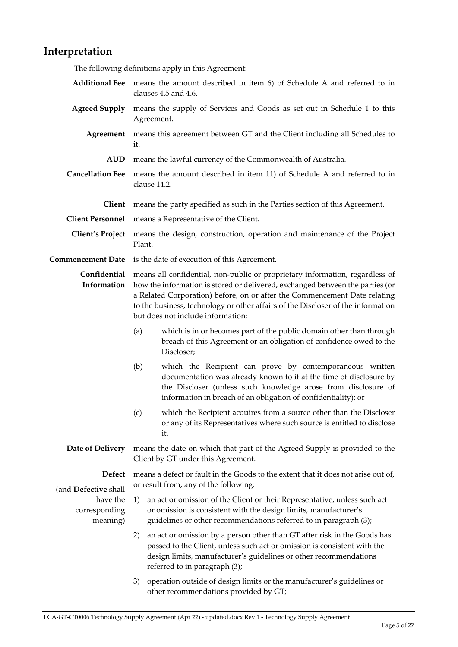### **Interpretation**

The following definitions apply in this Agreement:

- **Additional Fee** means the amount described in item 6) of Schedule A and referred to in clauses 4.5 and 4.6.
- **Agreed Supply** means the supply of Services and Goods as set out in Schedule 1 to this Agreement.
	- **Agreement** means this agreement between GT and the Client including all Schedules to it.
		- **AUD** means the lawful currency of the Commonwealth of Australia.
- **Cancellation Fee** means the amount described in item 11) of Schedule A and referred to in clause 14.2.
	- **Client** means the party specified as such in the Parties section of this Agreement.
- **Client Personnel** means a Representative of the Client.
- **Client's Project** means the design, construction, operation and maintenance of the Project Plant.
- **Commencement Date** is the date of execution of this Agreement.

**Confidential** means all confidential, non‐public or proprietary information, regardless of **Information** how the information is stored or delivered, exchanged between the parties (or a Related Corporation) before, on or after the Commencement Date relating to the business, technology or other affairs of the Discloser of the information but does not include information:

- (a) which is in or becomes part of the public domain other than through breach of this Agreement or an obligation of confidence owed to the Discloser;
- (b) which the Recipient can prove by contemporaneous written documentation was already known to it at the time of disclosure by the Discloser (unless such knowledge arose from disclosure of information in breach of an obligation of confidentiality); or
- (c) which the Recipient acquires from a source other than the Discloser or any of its Representatives where such source is entitled to disclose it.
- **Date of Delivery** means the date on which that part of the Agreed Supply is provided to the Client by GT under this Agreement.

**Defect** 

means a defect or fault in the Goods to the extent that it does not arise out of, or result from, any of the following:

- (and **Defective** shall have the corresponding meaning)
	- 1) an act or omission of the Client or their Representative, unless such act or omission is consistent with the design limits, manufacturer's guidelines or other recommendations referred to in paragraph (3);
	- 2) an act or omission by a person other than GT after risk in the Goods has passed to the Client, unless such act or omission is consistent with the design limits, manufacturer's guidelines or other recommendations referred to in paragraph (3);
	- 3) operation outside of design limits or the manufacturer's guidelines or other recommendations provided by GT;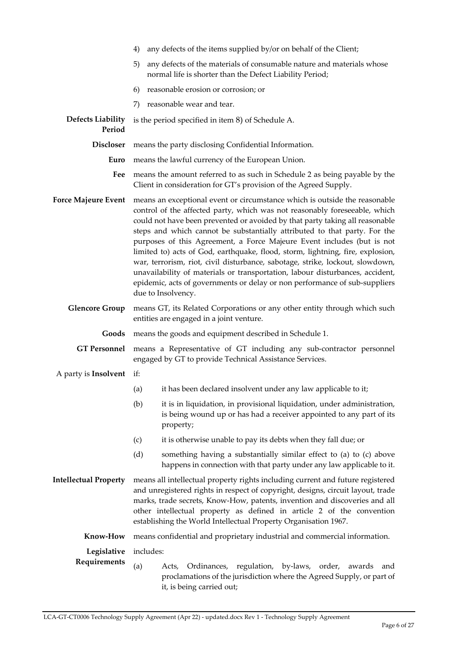|                                    | any defects of the items supplied by/or on behalf of the Client;<br>4)                                                                                                                                                                                                                                                                                                                                                                                                                                                                                                                                                                                                                                                                                  |                                                                                                                                                                         |
|------------------------------------|---------------------------------------------------------------------------------------------------------------------------------------------------------------------------------------------------------------------------------------------------------------------------------------------------------------------------------------------------------------------------------------------------------------------------------------------------------------------------------------------------------------------------------------------------------------------------------------------------------------------------------------------------------------------------------------------------------------------------------------------------------|-------------------------------------------------------------------------------------------------------------------------------------------------------------------------|
|                                    | any defects of the materials of consumable nature and materials whose<br>5)<br>normal life is shorter than the Defect Liability Period;                                                                                                                                                                                                                                                                                                                                                                                                                                                                                                                                                                                                                 |                                                                                                                                                                         |
|                                    | 6)                                                                                                                                                                                                                                                                                                                                                                                                                                                                                                                                                                                                                                                                                                                                                      | reasonable erosion or corrosion; or                                                                                                                                     |
|                                    | 7)                                                                                                                                                                                                                                                                                                                                                                                                                                                                                                                                                                                                                                                                                                                                                      | reasonable wear and tear.                                                                                                                                               |
| <b>Defects Liability</b><br>Period |                                                                                                                                                                                                                                                                                                                                                                                                                                                                                                                                                                                                                                                                                                                                                         | is the period specified in item 8) of Schedule A.                                                                                                                       |
| <b>Discloser</b>                   | means the party disclosing Confidential Information.                                                                                                                                                                                                                                                                                                                                                                                                                                                                                                                                                                                                                                                                                                    |                                                                                                                                                                         |
| Euro                               | means the lawful currency of the European Union.                                                                                                                                                                                                                                                                                                                                                                                                                                                                                                                                                                                                                                                                                                        |                                                                                                                                                                         |
| Fee                                | means the amount referred to as such in Schedule 2 as being payable by the<br>Client in consideration for GT's provision of the Agreed Supply.                                                                                                                                                                                                                                                                                                                                                                                                                                                                                                                                                                                                          |                                                                                                                                                                         |
| <b>Force Majeure Event</b>         | means an exceptional event or circumstance which is outside the reasonable<br>control of the affected party, which was not reasonably foreseeable, which<br>could not have been prevented or avoided by that party taking all reasonable<br>steps and which cannot be substantially attributed to that party. For the<br>purposes of this Agreement, a Force Majeure Event includes (but is not<br>limited to) acts of God, earthquake, flood, storm, lightning, fire, explosion,<br>war, terrorism, riot, civil disturbance, sabotage, strike, lockout, slowdown,<br>unavailability of materials or transportation, labour disturbances, accident,<br>epidemic, acts of governments or delay or non performance of sub-suppliers<br>due to Insolvency. |                                                                                                                                                                         |
| <b>Glencore Group</b>              | means GT, its Related Corporations or any other entity through which such<br>entities are engaged in a joint venture.                                                                                                                                                                                                                                                                                                                                                                                                                                                                                                                                                                                                                                   |                                                                                                                                                                         |
| Goods                              | means the goods and equipment described in Schedule 1.                                                                                                                                                                                                                                                                                                                                                                                                                                                                                                                                                                                                                                                                                                  |                                                                                                                                                                         |
| <b>GT Personnel</b>                | means a Representative of GT including any sub-contractor personnel<br>engaged by GT to provide Technical Assistance Services.                                                                                                                                                                                                                                                                                                                                                                                                                                                                                                                                                                                                                          |                                                                                                                                                                         |
| A party is <b>Insolvent</b> if:    |                                                                                                                                                                                                                                                                                                                                                                                                                                                                                                                                                                                                                                                                                                                                                         |                                                                                                                                                                         |
|                                    |                                                                                                                                                                                                                                                                                                                                                                                                                                                                                                                                                                                                                                                                                                                                                         | (a) it has been declared insolvent under any law applicable to it;                                                                                                      |
|                                    | (b)                                                                                                                                                                                                                                                                                                                                                                                                                                                                                                                                                                                                                                                                                                                                                     | it is in liquidation, in provisional liquidation, under administration,<br>is being wound up or has had a receiver appointed to any part of its<br>property;            |
|                                    | (c)                                                                                                                                                                                                                                                                                                                                                                                                                                                                                                                                                                                                                                                                                                                                                     | it is otherwise unable to pay its debts when they fall due; or                                                                                                          |
|                                    | (d)                                                                                                                                                                                                                                                                                                                                                                                                                                                                                                                                                                                                                                                                                                                                                     | something having a substantially similar effect to (a) to (c) above<br>happens in connection with that party under any law applicable to it.                            |
| <b>Intellectual Property</b>       | means all intellectual property rights including current and future registered<br>and unregistered rights in respect of copyright, designs, circuit layout, trade<br>marks, trade secrets, Know-How, patents, invention and discoveries and all<br>other intellectual property as defined in article 2 of the convention<br>establishing the World Intellectual Property Organisation 1967.                                                                                                                                                                                                                                                                                                                                                             |                                                                                                                                                                         |
| Know-How                           | means confidential and proprietary industrial and commercial information.                                                                                                                                                                                                                                                                                                                                                                                                                                                                                                                                                                                                                                                                               |                                                                                                                                                                         |
| Legislative                        | includes:                                                                                                                                                                                                                                                                                                                                                                                                                                                                                                                                                                                                                                                                                                                                               |                                                                                                                                                                         |
| Requirements                       | (a)                                                                                                                                                                                                                                                                                                                                                                                                                                                                                                                                                                                                                                                                                                                                                     | regulation, by-laws, order, awards<br>Acts,<br>Ordinances,<br>and<br>proclamations of the jurisdiction where the Agreed Supply, or part of<br>it, is being carried out; |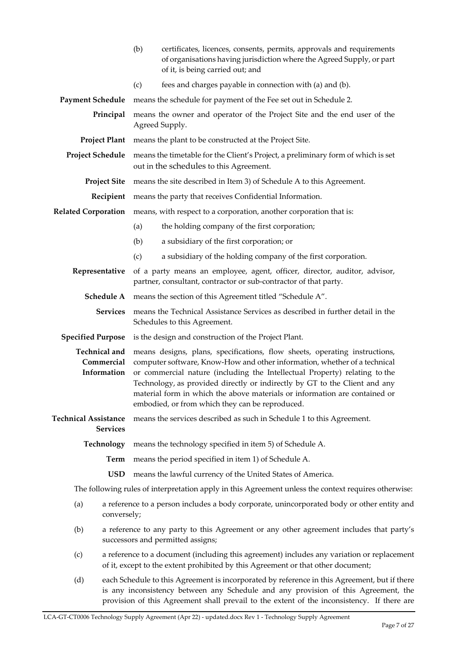|                                                                                                                  | (b)                                                                                                                                                                            | certificates, licences, consents, permits, approvals and requirements<br>of organisations having jurisdiction where the Agreed Supply, or part<br>of it, is being carried out; and                                                                                                                                                                                                                                                                   |  |
|------------------------------------------------------------------------------------------------------------------|--------------------------------------------------------------------------------------------------------------------------------------------------------------------------------|------------------------------------------------------------------------------------------------------------------------------------------------------------------------------------------------------------------------------------------------------------------------------------------------------------------------------------------------------------------------------------------------------------------------------------------------------|--|
|                                                                                                                  | (c)                                                                                                                                                                            | fees and charges payable in connection with (a) and (b).                                                                                                                                                                                                                                                                                                                                                                                             |  |
| <b>Payment Schedule</b>                                                                                          |                                                                                                                                                                                | means the schedule for payment of the Fee set out in Schedule 2.                                                                                                                                                                                                                                                                                                                                                                                     |  |
| Principal                                                                                                        |                                                                                                                                                                                | means the owner and operator of the Project Site and the end user of the<br>Agreed Supply.                                                                                                                                                                                                                                                                                                                                                           |  |
| <b>Project Plant</b>                                                                                             |                                                                                                                                                                                | means the plant to be constructed at the Project Site.                                                                                                                                                                                                                                                                                                                                                                                               |  |
| <b>Project Schedule</b>                                                                                          |                                                                                                                                                                                | means the timetable for the Client's Project, a preliminary form of which is set<br>out in the schedules to this Agreement.                                                                                                                                                                                                                                                                                                                          |  |
| <b>Project Site</b>                                                                                              |                                                                                                                                                                                | means the site described in Item 3) of Schedule A to this Agreement.                                                                                                                                                                                                                                                                                                                                                                                 |  |
| Recipient                                                                                                        |                                                                                                                                                                                | means the party that receives Confidential Information.                                                                                                                                                                                                                                                                                                                                                                                              |  |
| <b>Related Corporation</b>                                                                                       |                                                                                                                                                                                | means, with respect to a corporation, another corporation that is:                                                                                                                                                                                                                                                                                                                                                                                   |  |
|                                                                                                                  | (a)                                                                                                                                                                            | the holding company of the first corporation;                                                                                                                                                                                                                                                                                                                                                                                                        |  |
|                                                                                                                  | (b)                                                                                                                                                                            | a subsidiary of the first corporation; or                                                                                                                                                                                                                                                                                                                                                                                                            |  |
|                                                                                                                  | (c)                                                                                                                                                                            | a subsidiary of the holding company of the first corporation.                                                                                                                                                                                                                                                                                                                                                                                        |  |
| Representative                                                                                                   |                                                                                                                                                                                | of a party means an employee, agent, officer, director, auditor, advisor,<br>partner, consultant, contractor or sub-contractor of that party.                                                                                                                                                                                                                                                                                                        |  |
| Schedule A                                                                                                       |                                                                                                                                                                                | means the section of this Agreement titled "Schedule A".                                                                                                                                                                                                                                                                                                                                                                                             |  |
| <b>Services</b>                                                                                                  |                                                                                                                                                                                | means the Technical Assistance Services as described in further detail in the<br>Schedules to this Agreement.                                                                                                                                                                                                                                                                                                                                        |  |
| <b>Specified Purpose</b>                                                                                         |                                                                                                                                                                                | is the design and construction of the Project Plant.                                                                                                                                                                                                                                                                                                                                                                                                 |  |
| <b>Technical and</b><br>Commercial<br>Information                                                                |                                                                                                                                                                                | means designs, plans, specifications, flow sheets, operating instructions,<br>computer software, Know-How and other information, whether of a technical<br>or commercial nature (including the Intellectual Property) relating to the<br>Technology, as provided directly or indirectly by GT to the Client and any<br>material form in which the above materials or information are contained or<br>embodied, or from which they can be reproduced. |  |
| <b>Technical Assistance</b><br><b>Services</b>                                                                   |                                                                                                                                                                                | means the services described as such in Schedule 1 to this Agreement.                                                                                                                                                                                                                                                                                                                                                                                |  |
| Technology                                                                                                       |                                                                                                                                                                                | means the technology specified in item 5) of Schedule A.                                                                                                                                                                                                                                                                                                                                                                                             |  |
|                                                                                                                  | Term                                                                                                                                                                           | means the period specified in item 1) of Schedule A.                                                                                                                                                                                                                                                                                                                                                                                                 |  |
|                                                                                                                  | <b>USD</b>                                                                                                                                                                     | means the lawful currency of the United States of America.                                                                                                                                                                                                                                                                                                                                                                                           |  |
|                                                                                                                  |                                                                                                                                                                                | The following rules of interpretation apply in this Agreement unless the context requires otherwise:                                                                                                                                                                                                                                                                                                                                                 |  |
| a reference to a person includes a body corporate, unincorporated body or other entity and<br>(a)<br>conversely; |                                                                                                                                                                                |                                                                                                                                                                                                                                                                                                                                                                                                                                                      |  |
| (b)                                                                                                              | a reference to any party to this Agreement or any other agreement includes that party's<br>successors and permitted assigns;                                                   |                                                                                                                                                                                                                                                                                                                                                                                                                                                      |  |
| (c)                                                                                                              | a reference to a document (including this agreement) includes any variation or replacement<br>of it, except to the extent prohibited by this Agreement or that other document; |                                                                                                                                                                                                                                                                                                                                                                                                                                                      |  |
| (d)                                                                                                              |                                                                                                                                                                                | each Schedule to this Agreement is incorporated by reference in this Agreement, but if there<br>is any inconsistency between any Schedule and any provision of this Agreement, the<br>provision of this Agreement shall prevail to the extent of the inconsistency. If there are                                                                                                                                                                     |  |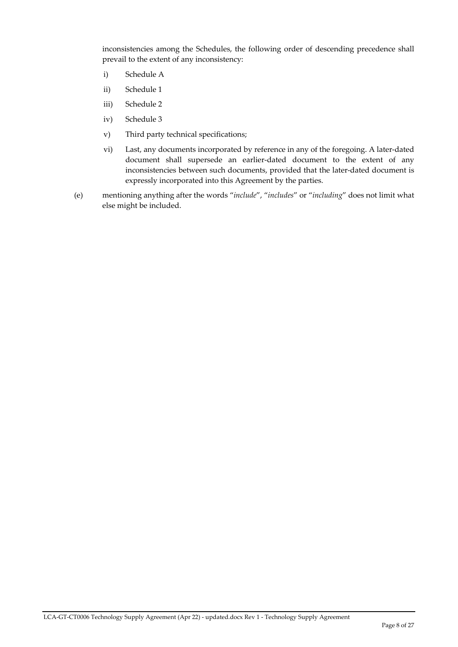inconsistencies among the Schedules, the following order of descending precedence shall prevail to the extent of any inconsistency:

- i) Schedule A
- ii) Schedule 1
- iii) Schedule 2
- iv) Schedule 3
- v) Third party technical specifications;
- vi) Last, any documents incorporated by reference in any of the foregoing. A later-dated document shall supersede an earlier‐dated document to the extent of any inconsistencies between such documents, provided that the later-dated document is expressly incorporated into this Agreement by the parties.
- (e) mentioning anything after the words "*include*", "*includes*" or "*including*" does not limit what else might be included.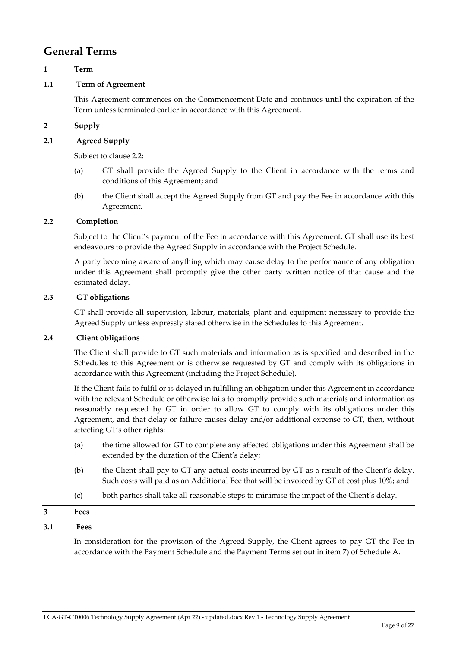### **General Terms**

#### **1 Term**

#### **1.1 Term of Agreement**

This Agreement commences on the Commencement Date and continues until the expiration of the Term unless terminated earlier in accordance with this Agreement.

#### **2 Supply**

#### **2.1 Agreed Supply**

Subject to clause 2.2:

- (a) GT shall provide the Agreed Supply to the Client in accordance with the terms and conditions of this Agreement; and
- (b) the Client shall accept the Agreed Supply from GT and pay the Fee in accordance with this Agreement.

#### **2.2 Completion**

Subject to the Client's payment of the Fee in accordance with this Agreement, GT shall use its best endeavours to provide the Agreed Supply in accordance with the Project Schedule.

A party becoming aware of anything which may cause delay to the performance of any obligation under this Agreement shall promptly give the other party written notice of that cause and the estimated delay.

#### **2.3 GT obligations**

GT shall provide all supervision, labour, materials, plant and equipment necessary to provide the Agreed Supply unless expressly stated otherwise in the Schedules to this Agreement.

#### **2.4 Client obligations**

The Client shall provide to GT such materials and information as is specified and described in the Schedules to this Agreement or is otherwise requested by GT and comply with its obligations in accordance with this Agreement (including the Project Schedule).

If the Client fails to fulfil or is delayed in fulfilling an obligation under this Agreement in accordance with the relevant Schedule or otherwise fails to promptly provide such materials and information as reasonably requested by GT in order to allow GT to comply with its obligations under this Agreement, and that delay or failure causes delay and/or additional expense to GT, then, without affecting GT's other rights:

- (a) the time allowed for GT to complete any affected obligations under this Agreement shall be extended by the duration of the Client's delay;
- (b) the Client shall pay to GT any actual costs incurred by GT as a result of the Client's delay. Such costs will paid as an Additional Fee that will be invoiced by GT at cost plus 10%; and
- (c) both parties shall take all reasonable steps to minimise the impact of the Client's delay.

### **3 Fees**

#### **3.1 Fees**

In consideration for the provision of the Agreed Supply, the Client agrees to pay GT the Fee in accordance with the Payment Schedule and the Payment Terms set out in item 7) of Schedule A.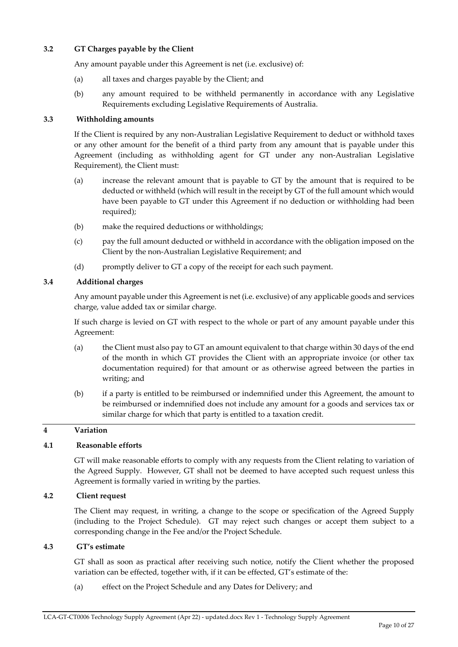#### **3.2 GT Charges payable by the Client**

Any amount payable under this Agreement is net (i.e. exclusive) of:

- (a) all taxes and charges payable by the Client; and
- (b) any amount required to be withheld permanently in accordance with any Legislative Requirements excluding Legislative Requirements of Australia.

#### **3.3 Withholding amounts**

If the Client is required by any non‐Australian Legislative Requirement to deduct or withhold taxes or any other amount for the benefit of a third party from any amount that is payable under this Agreement (including as withholding agent for GT under any non‐Australian Legislative Requirement), the Client must:

- (a) increase the relevant amount that is payable to GT by the amount that is required to be deducted or withheld (which will result in the receipt by GT of the full amount which would have been payable to GT under this Agreement if no deduction or withholding had been required);
- (b) make the required deductions or withholdings;
- (c) pay the full amount deducted or withheld in accordance with the obligation imposed on the Client by the non‐Australian Legislative Requirement; and
- (d) promptly deliver to GT a copy of the receipt for each such payment.

#### **3.4 Additional charges**

Any amount payable under this Agreement is net (i.e. exclusive) of any applicable goods and services charge, value added tax or similar charge.

If such charge is levied on GT with respect to the whole or part of any amount payable under this Agreement:

- (a) the Client must also pay to GT an amount equivalent to that charge within 30 days of the end of the month in which GT provides the Client with an appropriate invoice (or other tax documentation required) for that amount or as otherwise agreed between the parties in writing; and
- (b) if a party is entitled to be reimbursed or indemnified under this Agreement, the amount to be reimbursed or indemnified does not include any amount for a goods and services tax or similar charge for which that party is entitled to a taxation credit.

#### **4 Variation**

#### **4.1 Reasonable efforts**

GT will make reasonable efforts to comply with any requests from the Client relating to variation of the Agreed Supply. However, GT shall not be deemed to have accepted such request unless this Agreement is formally varied in writing by the parties.

#### **4.2 Client request**

The Client may request, in writing, a change to the scope or specification of the Agreed Supply (including to the Project Schedule). GT may reject such changes or accept them subject to a corresponding change in the Fee and/or the Project Schedule.

#### **4.3 GT's estimate**

GT shall as soon as practical after receiving such notice, notify the Client whether the proposed variation can be effected, together with, if it can be effected, GT's estimate of the:

(a) effect on the Project Schedule and any Dates for Delivery; and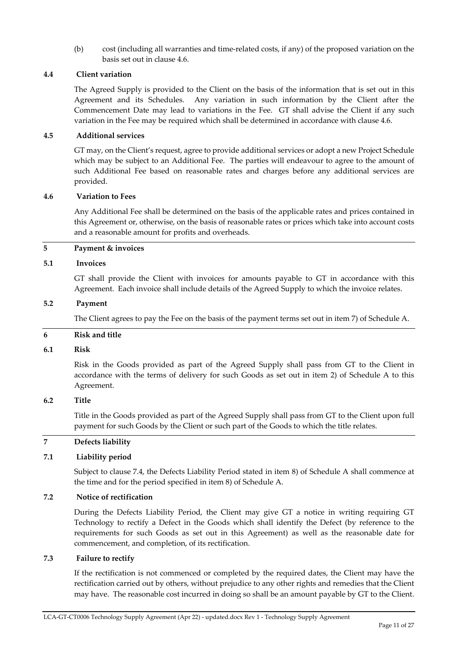(b) cost (including all warranties and time‐related costs, if any) of the proposed variation on the basis set out in clause 4.6.

#### **4.4 Client variation**

The Agreed Supply is provided to the Client on the basis of the information that is set out in this Agreement and its Schedules. Any variation in such information by the Client after the Commencement Date may lead to variations in the Fee. GT shall advise the Client if any such variation in the Fee may be required which shall be determined in accordance with clause 4.6.

#### **4.5 Additional services**

GT may, on the Client's request, agree to provide additional services or adopt a new Project Schedule which may be subject to an Additional Fee. The parties will endeavour to agree to the amount of such Additional Fee based on reasonable rates and charges before any additional services are provided.

#### **4.6 Variation to Fees**

Any Additional Fee shall be determined on the basis of the applicable rates and prices contained in this Agreement or, otherwise, on the basis of reasonable rates or prices which take into account costs and a reasonable amount for profits and overheads.

#### **5 Payment & invoices**

#### **5.1 Invoices**

GT shall provide the Client with invoices for amounts payable to GT in accordance with this Agreement. Each invoice shall include details of the Agreed Supply to which the invoice relates.

#### **5.2 Payment**

The Client agrees to pay the Fee on the basis of the payment terms set out in item 7) of Schedule A.

#### **6 Risk and title**

#### **6.1 Risk**

Risk in the Goods provided as part of the Agreed Supply shall pass from GT to the Client in accordance with the terms of delivery for such Goods as set out in item 2) of Schedule A to this Agreement.

#### **6.2 Title**

Title in the Goods provided as part of the Agreed Supply shall pass from GT to the Client upon full payment for such Goods by the Client or such part of the Goods to which the title relates.

#### **7 Defects liability**

#### **7.1 Liability period**

Subject to clause 7.4, the Defects Liability Period stated in item 8) of Schedule A shall commence at the time and for the period specified in item 8) of Schedule A.

#### **7.2 Notice of rectification**

During the Defects Liability Period, the Client may give GT a notice in writing requiring GT Technology to rectify a Defect in the Goods which shall identify the Defect (by reference to the requirements for such Goods as set out in this Agreement) as well as the reasonable date for commencement, and completion, of its rectification.

#### **7.3 Failure to rectify**

If the rectification is not commenced or completed by the required dates, the Client may have the rectification carried out by others, without prejudice to any other rights and remedies that the Client may have. The reasonable cost incurred in doing so shall be an amount payable by GT to the Client.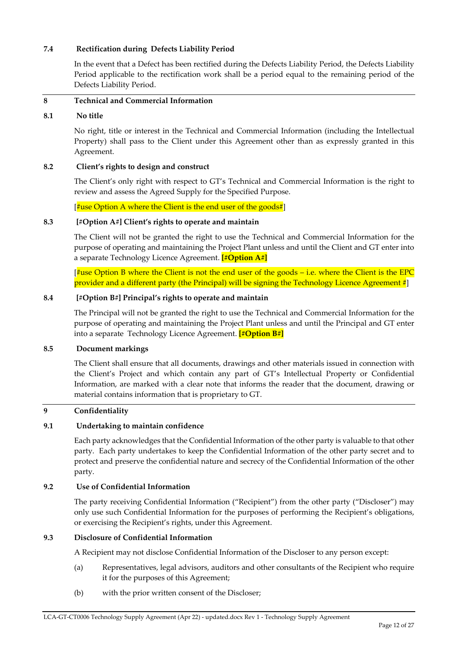#### **7.4 Rectification during Defects Liability Period**

In the event that a Defect has been rectified during the Defects Liability Period, the Defects Liability Period applicable to the rectification work shall be a period equal to the remaining period of the Defects Liability Period.

#### **8 Technical and Commercial Information**

#### **8.1 No title**

No right, title or interest in the Technical and Commercial Information (including the Intellectual Property) shall pass to the Client under this Agreement other than as expressly granted in this Agreement.

#### **8.2 Client's rights to design and construct**

The Client's only right with respect to GT's Technical and Commercial Information is the right to review and assess the Agreed Supply for the Specified Purpose.

[ $\sharp$ use Option A where the Client is the end user of the goods#]

#### **8.3 [#Option A#] Client's rights to operate and maintain**

The Client will not be granted the right to use the Technical and Commercial Information for the purpose of operating and maintaining the Project Plant unless and until the Client and GT enter into a separate Technology Licence Agreement. **[#Option A#]**

 $\frac{4}{3}$ use Option B where the Client is not the end user of the goods – i.e. where the Client is the EPC provider and a different party (the Principal) will be signing the Technology Licence Agreement #

#### **8.4 [#Option B#] Principal's rights to operate and maintain**

The Principal will not be granted the right to use the Technical and Commercial Information for the purpose of operating and maintaining the Project Plant unless and until the Principal and GT enter into a separate Technology Licence Agreement. **[#Option B#]**

#### **8.5 Document markings**

The Client shall ensure that all documents, drawings and other materials issued in connection with the Client's Project and which contain any part of GT's Intellectual Property or Confidential Information, are marked with a clear note that informs the reader that the document, drawing or material contains information that is proprietary to GT.

#### **9 Confidentiality**

#### **9.1 Undertaking to maintain confidence**

Each party acknowledges that the Confidential Information of the other party is valuable to that other party. Each party undertakes to keep the Confidential Information of the other party secret and to protect and preserve the confidential nature and secrecy of the Confidential Information of the other party.

#### **9.2 Use of Confidential Information**

The party receiving Confidential Information ("Recipient") from the other party ("Discloser") may only use such Confidential Information for the purposes of performing the Recipient's obligations, or exercising the Recipient's rights, under this Agreement.

#### **9.3 Disclosure of Confidential Information**

A Recipient may not disclose Confidential Information of the Discloser to any person except:

- (a) Representatives, legal advisors, auditors and other consultants of the Recipient who require it for the purposes of this Agreement;
- (b) with the prior written consent of the Discloser;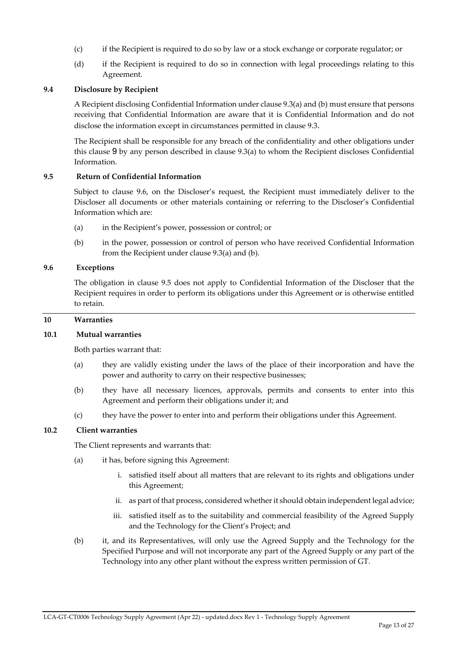- (c) if the Recipient is required to do so by law or a stock exchange or corporate regulator; or
- (d) if the Recipient is required to do so in connection with legal proceedings relating to this Agreement.

#### **9.4 Disclosure by Recipient**

A Recipient disclosing Confidential Information under clause 9.3(a) and (b) must ensure that persons receiving that Confidential Information are aware that it is Confidential Information and do not disclose the information except in circumstances permitted in clause 9.3.

The Recipient shall be responsible for any breach of the confidentiality and other obligations under this clause 9 by any person described in clause 9.3(a) to whom the Recipient discloses Confidential Information.

#### **9.5 Return of Confidential Information**

Subject to clause 9.6, on the Discloser's request, the Recipient must immediately deliver to the Discloser all documents or other materials containing or referring to the Discloser's Confidential Information which are:

- (a) in the Recipient's power, possession or control; or
- (b) in the power, possession or control of person who have received Confidential Information from the Recipient under clause 9.3(a) and (b).

#### **9.6 Exceptions**

The obligation in clause 9.5 does not apply to Confidential Information of the Discloser that the Recipient requires in order to perform its obligations under this Agreement or is otherwise entitled to retain.

#### **10 Warranties**

#### **10.1 Mutual warranties**

Both parties warrant that:

- (a) they are validly existing under the laws of the place of their incorporation and have the power and authority to carry on their respective businesses;
- (b) they have all necessary licences, approvals, permits and consents to enter into this Agreement and perform their obligations under it; and
- (c) they have the power to enter into and perform their obligations under this Agreement.

#### **10.2 Client warranties**

The Client represents and warrants that:

- (a) it has, before signing this Agreement:
	- i. satisfied itself about all matters that are relevant to its rights and obligations under this Agreement;
	- ii. as part of that process, considered whether it should obtain independent legal advice;
	- iii. satisfied itself as to the suitability and commercial feasibility of the Agreed Supply and the Technology for the Client's Project; and
- (b) it, and its Representatives, will only use the Agreed Supply and the Technology for the Specified Purpose and will not incorporate any part of the Agreed Supply or any part of the Technology into any other plant without the express written permission of GT.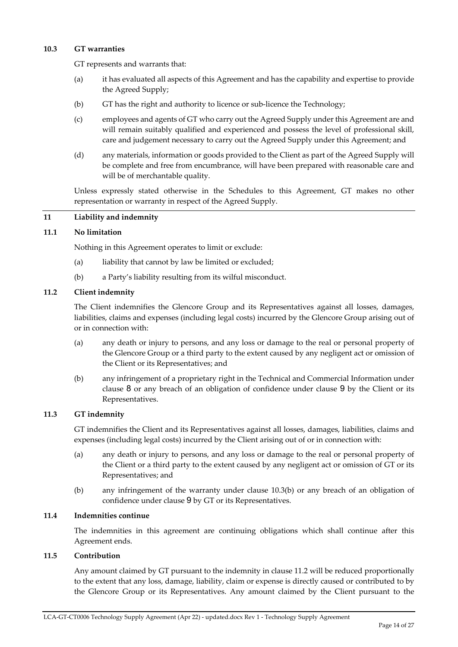#### **10.3 GT warranties**

GT represents and warrants that:

- (a) it has evaluated all aspects of this Agreement and has the capability and expertise to provide the Agreed Supply;
- (b) GT has the right and authority to licence or sub‐licence the Technology;
- (c) employees and agents of GT who carry out the Agreed Supply under this Agreement are and will remain suitably qualified and experienced and possess the level of professional skill, care and judgement necessary to carry out the Agreed Supply under this Agreement; and
- (d) any materials, information or goods provided to the Client as part of the Agreed Supply will be complete and free from encumbrance, will have been prepared with reasonable care and will be of merchantable quality.

Unless expressly stated otherwise in the Schedules to this Agreement, GT makes no other representation or warranty in respect of the Agreed Supply.

#### **11 Liability and indemnity**

#### **11.1 No limitation**

Nothing in this Agreement operates to limit or exclude:

- (a) liability that cannot by law be limited or excluded;
- (b) a Party's liability resulting from its wilful misconduct.

#### **11.2 Client indemnity**

The Client indemnifies the Glencore Group and its Representatives against all losses, damages, liabilities, claims and expenses (including legal costs) incurred by the Glencore Group arising out of or in connection with:

- (a) any death or injury to persons, and any loss or damage to the real or personal property of the Glencore Group or a third party to the extent caused by any negligent act or omission of the Client or its Representatives; and
- (b) any infringement of a proprietary right in the Technical and Commercial Information under clause 8 or any breach of an obligation of confidence under clause 9 by the Client or its Representatives.

#### **11.3 GT indemnity**

GT indemnifies the Client and its Representatives against all losses, damages, liabilities, claims and expenses (including legal costs) incurred by the Client arising out of or in connection with:

- (a) any death or injury to persons, and any loss or damage to the real or personal property of the Client or a third party to the extent caused by any negligent act or omission of GT or its Representatives; and
- (b) any infringement of the warranty under clause 10.3(b) or any breach of an obligation of confidence under clause 9 by GT or its Representatives.

#### **11.4 Indemnities continue**

The indemnities in this agreement are continuing obligations which shall continue after this Agreement ends.

#### **11.5 Contribution**

Any amount claimed by GT pursuant to the indemnity in clause 11.2 will be reduced proportionally to the extent that any loss, damage, liability, claim or expense is directly caused or contributed to by the Glencore Group or its Representatives. Any amount claimed by the Client pursuant to the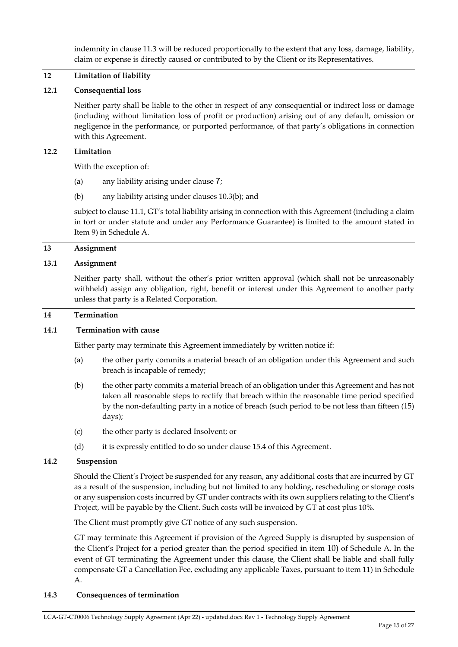indemnity in clause 11.3 will be reduced proportionally to the extent that any loss, damage, liability, claim or expense is directly caused or contributed to by the Client or its Representatives.

#### **12 Limitation of liability**

#### **12.1 Consequential loss**

Neither party shall be liable to the other in respect of any consequential or indirect loss or damage (including without limitation loss of profit or production) arising out of any default, omission or negligence in the performance, or purported performance, of that party's obligations in connection with this Agreement.

#### **12.2 Limitation**

With the exception of:

- (a) any liability arising under clause 7;
- (b) any liability arising under clauses 10.3(b); and

subject to clause 11.1, GT's total liability arising in connection with this Agreement (including a claim in tort or under statute and under any Performance Guarantee) is limited to the amount stated in Item 9) in Schedule A.

#### **13 Assignment**

#### **13.1 Assignment**

Neither party shall, without the other's prior written approval (which shall not be unreasonably withheld) assign any obligation, right, benefit or interest under this Agreement to another party unless that party is a Related Corporation.

#### **14 Termination**

#### **14.1 Termination with cause**

Either party may terminate this Agreement immediately by written notice if:

- (a) the other party commits a material breach of an obligation under this Agreement and such breach is incapable of remedy;
- (b) the other party commits a material breach of an obligation under this Agreement and has not taken all reasonable steps to rectify that breach within the reasonable time period specified by the non‐defaulting party in a notice of breach (such period to be not less than fifteen (15) days);
- (c) the other party is declared Insolvent; or
- (d) it is expressly entitled to do so under clause 15.4 of this Agreement.

#### **14.2 Suspension**

Should the Client's Project be suspended for any reason, any additional costs that are incurred by GT as a result of the suspension, including but not limited to any holding, rescheduling or storage costs or any suspension costs incurred by GT under contracts with its own suppliers relating to the Client's Project, will be payable by the Client. Such costs will be invoiced by GT at cost plus 10%.

The Client must promptly give GT notice of any such suspension.

GT may terminate this Agreement if provision of the Agreed Supply is disrupted by suspension of the Client's Project for a period greater than the period specified in item 10) of Schedule A. In the event of GT terminating the Agreement under this clause, the Client shall be liable and shall fully compensate GT a Cancellation Fee, excluding any applicable Taxes, pursuant to item 11) in Schedule A.

#### **14.3 Consequences of termination**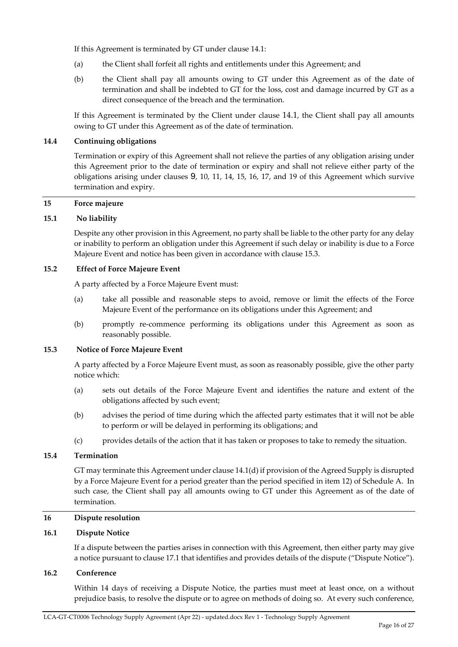If this Agreement is terminated by GT under clause 14.1:

- (a) the Client shall forfeit all rights and entitlements under this Agreement; and
- (b) the Client shall pay all amounts owing to GT under this Agreement as of the date of termination and shall be indebted to GT for the loss, cost and damage incurred by GT as a direct consequence of the breach and the termination.

If this Agreement is terminated by the Client under clause 14.1, the Client shall pay all amounts owing to GT under this Agreement as of the date of termination.

#### **14.4 Continuing obligations**

Termination or expiry of this Agreement shall not relieve the parties of any obligation arising under this Agreement prior to the date of termination or expiry and shall not relieve either party of the obligations arising under clauses 9, 10, 11, 14, 15, 16, 17, and 19 of this Agreement which survive termination and expiry.

#### **15 Force majeure**

#### **15.1 No liability**

Despite any other provision in this Agreement, no party shall be liable to the other party for any delay or inability to perform an obligation under this Agreement if such delay or inability is due to a Force Majeure Event and notice has been given in accordance with clause 15.3.

#### **15.2 Effect of Force Majeure Event**

A party affected by a Force Majeure Event must:

- (a) take all possible and reasonable steps to avoid, remove or limit the effects of the Force Majeure Event of the performance on its obligations under this Agreement; and
- (b) promptly re‐commence performing its obligations under this Agreement as soon as reasonably possible.

#### **15.3 Notice of Force Majeure Event**

A party affected by a Force Majeure Event must, as soon as reasonably possible, give the other party notice which:

- (a) sets out details of the Force Majeure Event and identifies the nature and extent of the obligations affected by such event;
- (b) advises the period of time during which the affected party estimates that it will not be able to perform or will be delayed in performing its obligations; and
- (c) provides details of the action that it has taken or proposes to take to remedy the situation.

#### **15.4 Termination**

GT may terminate this Agreement under clause 14.1(d) if provision of the Agreed Supply is disrupted by a Force Majeure Event for a period greater than the period specified in item 12) of Schedule A. In such case, the Client shall pay all amounts owing to GT under this Agreement as of the date of termination.

#### **16 Dispute resolution**

#### **16.1 Dispute Notice**

If a dispute between the parties arises in connection with this Agreement, then either party may give a notice pursuant to clause 17.1 that identifies and provides details of the dispute ("Dispute Notice").

#### **16.2 Conference**

Within 14 days of receiving a Dispute Notice, the parties must meet at least once, on a without prejudice basis, to resolve the dispute or to agree on methods of doing so. At every such conference,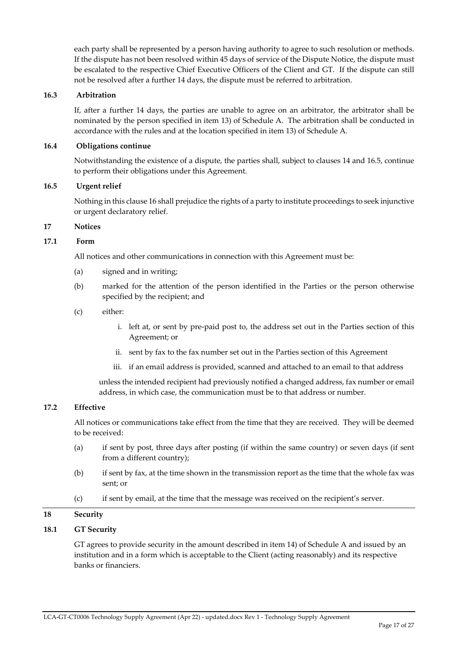each party shall be represented by a person having authority to agree to such resolution or methods. If the dispute has not been resolved within 45 days of service of the Dispute Notice, the dispute must be escalated to the respective Chief Executive Officers of the Client and GT. If the dispute can still not be resolved after a further 14 days, the dispute must be referred to arbitration.

#### **16.3 Arbitration**

If, after a further 14 days, the parties are unable to agree on an arbitrator, the arbitrator shall be nominated by the person specified in item 13) of Schedule A. The arbitration shall be conducted in accordance with the rules and at the location specified in item 13) of Schedule A.

#### **16.4 Obligations continue**

Notwithstanding the existence of a dispute, the parties shall, subject to clauses 14 and 16.5, continue to perform their obligations under this Agreement.

#### **16.5 Urgent relief**

Nothing in this clause 16 shall prejudice the rights of a party to institute proceedings to seek injunctive or urgent declaratory relief.

#### **17 Notices**

#### **17.1 Form**

All notices and other communications in connection with this Agreement must be:

- (a) signed and in writing;
- (b) marked for the attention of the person identified in the Parties or the person otherwise specified by the recipient; and
- (c) either:
	- i. left at, or sent by pre‐paid post to, the address set out in the Parties section of this Agreement; or
	- ii. sent by fax to the fax number set out in the Parties section of this Agreement
	- iii. if an email address is provided, scanned and attached to an email to that address

unless the intended recipient had previously notified a changed address, fax number or email address, in which case, the communication must be to that address or number.

#### **17.2 Effective**

All notices or communications take effect from the time that they are received. They will be deemed to be received:

- (a) if sent by post, three days after posting (if within the same country) or seven days (if sent from a different country);
- (b) if sent by fax, at the time shown in the transmission report as the time that the whole fax was sent; or
- (c) if sent by email, at the time that the message was received on the recipient's server.

#### **18 Security**

#### **18.1 GT Security**

GT agrees to provide security in the amount described in item 14) of Schedule A and issued by an institution and in a form which is acceptable to the Client (acting reasonably) and its respective banks or financiers.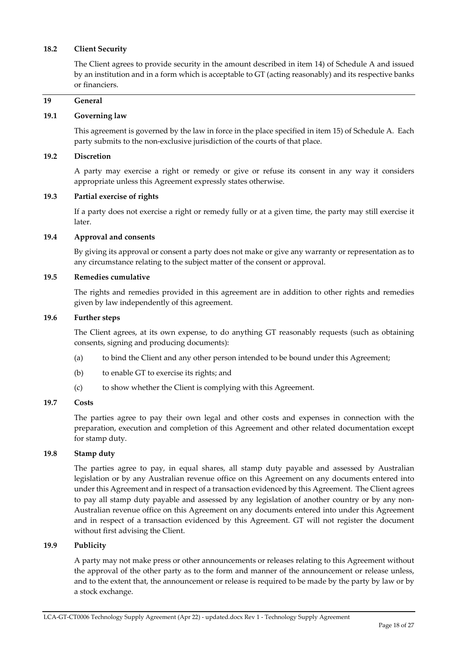#### **18.2 Client Security**

The Client agrees to provide security in the amount described in item 14) of Schedule A and issued by an institution and in a form which is acceptable to GT (acting reasonably) and its respective banks or financiers.

#### **19 General**

#### **19.1 Governing law**

This agreement is governed by the law in force in the place specified in item 15) of Schedule A. Each party submits to the non‐exclusive jurisdiction of the courts of that place.

#### **19.2 Discretion**

A party may exercise a right or remedy or give or refuse its consent in any way it considers appropriate unless this Agreement expressly states otherwise.

#### **19.3 Partial exercise of rights**

If a party does not exercise a right or remedy fully or at a given time, the party may still exercise it later.

#### **19.4 Approval and consents**

By giving its approval or consent a party does not make or give any warranty or representation as to any circumstance relating to the subject matter of the consent or approval.

#### **19.5 Remedies cumulative**

The rights and remedies provided in this agreement are in addition to other rights and remedies given by law independently of this agreement.

#### **19.6 Further steps**

The Client agrees, at its own expense, to do anything GT reasonably requests (such as obtaining consents, signing and producing documents):

- (a) to bind the Client and any other person intended to be bound under this Agreement;
- (b) to enable GT to exercise its rights; and
- (c) to show whether the Client is complying with this Agreement.

#### **19.7 Costs**

The parties agree to pay their own legal and other costs and expenses in connection with the preparation, execution and completion of this Agreement and other related documentation except for stamp duty.

#### **19.8 Stamp duty**

The parties agree to pay, in equal shares, all stamp duty payable and assessed by Australian legislation or by any Australian revenue office on this Agreement on any documents entered into under this Agreement and in respect of a transaction evidenced by this Agreement. The Client agrees to pay all stamp duty payable and assessed by any legislation of another country or by any non-Australian revenue office on this Agreement on any documents entered into under this Agreement and in respect of a transaction evidenced by this Agreement. GT will not register the document without first advising the Client.

#### **19.9 Publicity**

A party may not make press or other announcements or releases relating to this Agreement without the approval of the other party as to the form and manner of the announcement or release unless, and to the extent that, the announcement or release is required to be made by the party by law or by a stock exchange.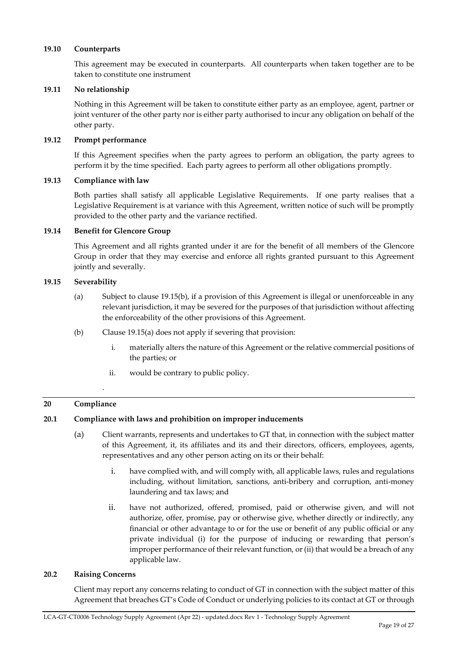#### **19.10 Counterparts**

This agreement may be executed in counterparts. All counterparts when taken together are to be taken to constitute one instrument

#### **19.11 No relationship**

Nothing in this Agreement will be taken to constitute either party as an employee, agent, partner or joint venturer of the other party nor is either party authorised to incur any obligation on behalf of the other party.

#### **19.12 Prompt performance**

If this Agreement specifies when the party agrees to perform an obligation, the party agrees to perform it by the time specified. Each party agrees to perform all other obligations promptly.

#### **19.13 Compliance with law**

Both parties shall satisfy all applicable Legislative Requirements. If one party realises that a Legislative Requirement is at variance with this Agreement, written notice of such will be promptly provided to the other party and the variance rectified.

#### **19.14 Benefit for Glencore Group**

This Agreement and all rights granted under it are for the benefit of all members of the Glencore Group in order that they may exercise and enforce all rights granted pursuant to this Agreement jointly and severally.

#### **19.15 Severability**

- (a) Subject to clause 19.15(b), if a provision of this Agreement is illegal or unenforceable in any relevant jurisdiction, it may be severed for the purposes of that jurisdiction without affecting the enforceability of the other provisions of this Agreement.
- (b) Clause 19.15(a) does not apply if severing that provision:
	- i. materially alters the nature of this Agreement or the relative commercial positions of the parties; or
	- ii. would be contrary to public policy.

#### **20 Compliance**

.

#### **20.1 Compliance with laws and prohibition on improper inducements**

- (a) Client warrants, represents and undertakes to GT that, in connection with the subject matter of this Agreement, it, its affiliates and its and their directors, officers, employees, agents, representatives and any other person acting on its or their behalf:
	- i. have complied with, and will comply with, all applicable laws, rules and regulations including, without limitation, sanctions, anti-bribery and corruption, anti-money laundering and tax laws; and
	- ii. have not authorized, offered, promised, paid or otherwise given, and will not authorize, offer, promise, pay or otherwise give, whether directly or indirectly, any financial or other advantage to or for the use or benefit of any public official or any private individual (i) for the purpose of inducing or rewarding that person's improper performance of their relevant function, or (ii) that would be a breach of any applicable law.

#### **20.2 Raising Concerns**

Client may report any concerns relating to conduct of GT in connection with the subject matter of this Agreement that breaches GT's Code of Conduct or underlying policies to its contact at GT or through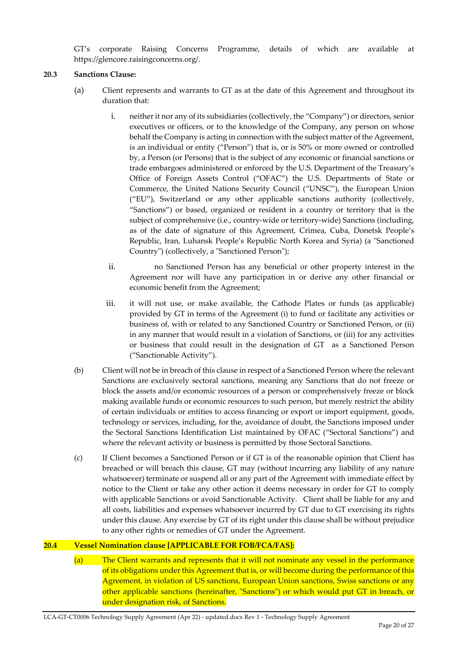GT's corporate Raising Concerns Programme, details of which are available at https://glencore.raisingconcerns.org/.

#### **20.3 Sanctions Clause:**

- (a) Client represents and warrants to GT as at the date of this Agreement and throughout its duration that:
	- i. neither it nor any of its subsidiaries (collectively, the "Company") or directors, senior executives or officers, or to the knowledge of the Company, any person on whose behalf the Company is acting in connection with the subject matter of the Agreement, is an individual or entity ("Person") that is, or is 50% or more owned or controlled by, a Person (or Persons) that is the subject of any economic or financial sanctions or trade embargoes administered or enforced by the U.S. Department of the Treasury's Office of Foreign Assets Control ("OFAC") the U.S. Departments of State or Commerce, the United Nations Security Council ("UNSC"), the European Union ("EU"), Switzerland or any other applicable sanctions authority (collectively, "Sanctions") or based, organized or resident in a country or territory that is the subject of comprehensive (i.e., country-wide or territory-wide) Sanctions (including, as of the date of signature of this Agreement, Crimea, Cuba, Donetsk People's Republic, Iran, Luhansk People's Republic North Korea and Syria) (a "Sanctioned Country") (collectively, a "Sanctioned Person");
	- ii. no Sanctioned Person has any beneficial or other property interest in the Agreement nor will have any participation in or derive any other financial or economic benefit from the Agreement;
	- iii. it will not use, or make available, the Cathode Plates or funds (as applicable) provided by GT in terms of the Agreement (i) to fund or facilitate any activities or business of, with or related to any Sanctioned Country or Sanctioned Person, or (ii) in any manner that would result in a violation of Sanctions, or (iii) for any activities or business that could result in the designation of GT as a Sanctioned Person ("Sanctionable Activity").
- (b) Client will not be in breach of this clause in respect of a Sanctioned Person where the relevant Sanctions are exclusively sectoral sanctions, meaning any Sanctions that do not freeze or block the assets and/or economic resources of a person or comprehensively freeze or block making available funds or economic resources to such person, but merely restrict the ability of certain individuals or entities to access financing or export or import equipment, goods, technology or services, including, for the, avoidance of doubt, the Sanctions imposed under the Sectoral Sanctions Identification List maintained by OFAC ("Sectoral Sanctions") and where the relevant activity or business is permitted by those Sectoral Sanctions.
- (c) If Client becomes a Sanctioned Person or if GT is of the reasonable opinion that Client has breached or will breach this clause, GT may (without incurring any liability of any nature whatsoever) terminate or suspend all or any part of the Agreement with immediate effect by notice to the Client or take any other action it deems necessary in order for GT to comply with applicable Sanctions or avoid Sanctionable Activity. Client shall be liable for any and all costs, liabilities and expenses whatsoever incurred by GT due to GT exercising its rights under this clause. Any exercise by GT of its right under this clause shall be without prejudice to any other rights or remedies of GT under the Agreement.

#### **20.4 Vessel Nomination clause [APPLICABLE FOR FOB/FCA/FAS]:**

(a) The Client warrants and represents that it will not nominate any vessel in the performance of its obligations under this Agreement that is, or will become during the performance of this Agreement, in violation of US sanctions, European Union sanctions, Swiss sanctions or any other applicable sanctions (hereinafter, "Sanctions") or which would put GT in breach, or under designation risk, of Sanctions.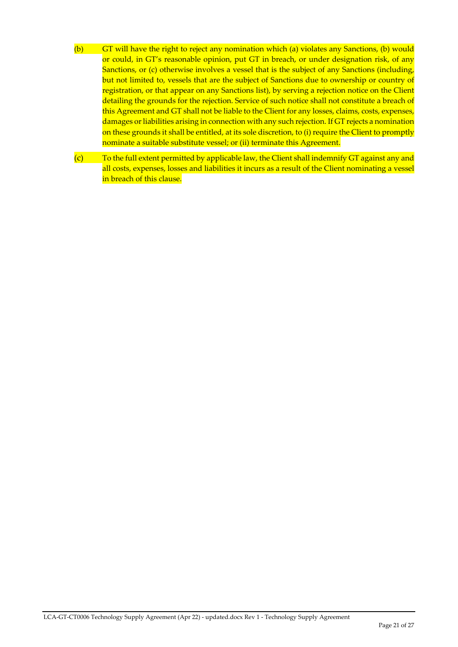- (b) GT will have the right to reject any nomination which (a) violates any Sanctions, (b) would or could, in GT's reasonable opinion, put GT in breach, or under designation risk, of any Sanctions, or (c) otherwise involves a vessel that is the subject of any Sanctions (including, but not limited to, vessels that are the subject of Sanctions due to ownership or country of registration, or that appear on any Sanctions list), by serving a rejection notice on the Client detailing the grounds for the rejection. Service of such notice shall not constitute a breach of this Agreement and GT shall not be liable to the Client for any losses, claims, costs, expenses, damages or liabilities arising in connection with any such rejection. If GT rejects a nomination on these grounds it shall be entitled, at its sole discretion, to (i) require the Client to promptly nominate a suitable substitute vessel; or (ii) terminate this Agreement.
- (c) To the full extent permitted by applicable law, the Client shall indemnify GT against any and all costs, expenses, losses and liabilities it incurs as a result of the Client nominating a vessel in breach of this clause.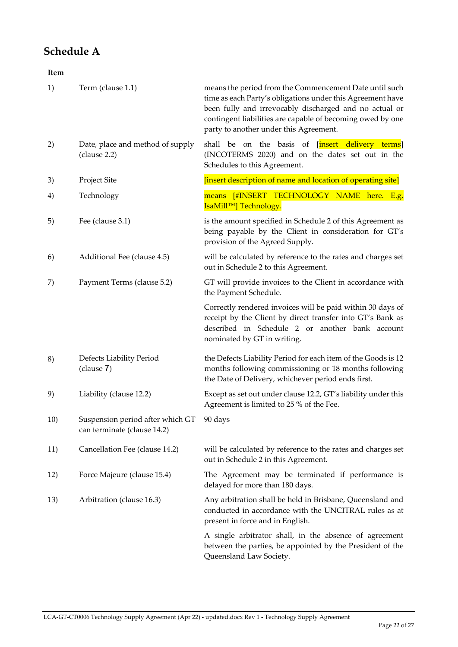## **Schedule A**

| Item<br>$\sim$ $\sim$ |
|-----------------------|
|-----------------------|

| 1)  | Term (clause 1.1)                                               | means the period from the Commencement Date until such<br>time as each Party's obligations under this Agreement have<br>been fully and irrevocably discharged and no actual or<br>contingent liabilities are capable of becoming owed by one<br>party to another under this Agreement. |
|-----|-----------------------------------------------------------------|----------------------------------------------------------------------------------------------------------------------------------------------------------------------------------------------------------------------------------------------------------------------------------------|
| 2)  | Date, place and method of supply<br>(clause 2.2)                | shall be on the basis of [insert delivery terms]<br>(INCOTERMS 2020) and on the dates set out in the<br>Schedules to this Agreement.                                                                                                                                                   |
| 3)  | Project Site                                                    | [insert description of name and location of operating site]                                                                                                                                                                                                                            |
| 4)  | Technology                                                      | means [#INSERT TECHNOLOGY NAME here. E.g.<br>IsaMill <sup>TM</sup> ] Technology.                                                                                                                                                                                                       |
| 5)  | Fee (clause 3.1)                                                | is the amount specified in Schedule 2 of this Agreement as<br>being payable by the Client in consideration for GT's<br>provision of the Agreed Supply.                                                                                                                                 |
| 6)  | Additional Fee (clause 4.5)                                     | will be calculated by reference to the rates and charges set<br>out in Schedule 2 to this Agreement.                                                                                                                                                                                   |
| 7)  | Payment Terms (clause 5.2)                                      | GT will provide invoices to the Client in accordance with<br>the Payment Schedule.                                                                                                                                                                                                     |
|     |                                                                 | Correctly rendered invoices will be paid within 30 days of<br>receipt by the Client by direct transfer into GT's Bank as<br>described in Schedule 2 or another bank account<br>nominated by GT in writing.                                                                             |
| 8)  | Defects Liability Period<br>(clause 7)                          | the Defects Liability Period for each item of the Goods is 12<br>months following commissioning or 18 months following<br>the Date of Delivery, whichever period ends first.                                                                                                           |
| 9)  | Liability (clause 12.2)                                         | Except as set out under clause 12.2, GT's liability under this<br>Agreement is limited to 25 % of the Fee.                                                                                                                                                                             |
| 10) | Suspension period after which GT<br>can terminate (clause 14.2) | 90 days                                                                                                                                                                                                                                                                                |
| 11) | Cancellation Fee (clause 14.2)                                  | will be calculated by reference to the rates and charges set<br>out in Schedule 2 in this Agreement.                                                                                                                                                                                   |
| 12) | Force Majeure (clause 15.4)                                     | The Agreement may be terminated if performance is<br>delayed for more than 180 days.                                                                                                                                                                                                   |
| 13) | Arbitration (clause 16.3)                                       | Any arbitration shall be held in Brisbane, Queensland and<br>conducted in accordance with the UNCITRAL rules as at<br>present in force and in English.                                                                                                                                 |
|     |                                                                 | A single arbitrator shall, in the absence of agreement<br>between the parties, be appointed by the President of the<br>Queensland Law Society.                                                                                                                                         |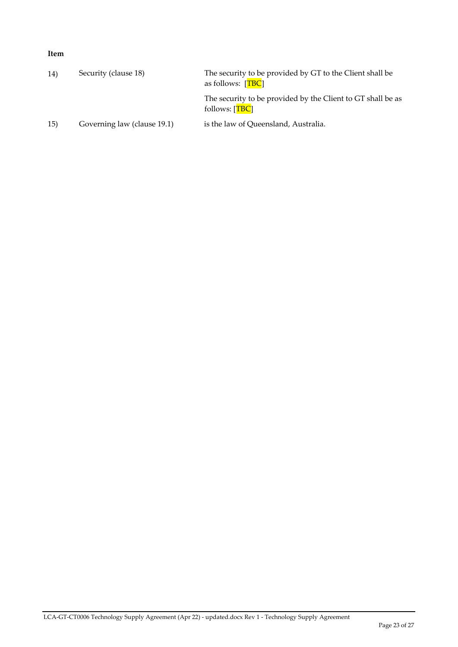#### **Item**

| 14) | Security (clause 18)        | The security to be provided by GT to the Client shall be<br>as follows: $[TBC]$ |
|-----|-----------------------------|---------------------------------------------------------------------------------|
|     |                             | The security to be provided by the Client to GT shall be as<br>follows: [TBC]   |
| 15) | Governing law (clause 19.1) | is the law of Queensland, Australia.                                            |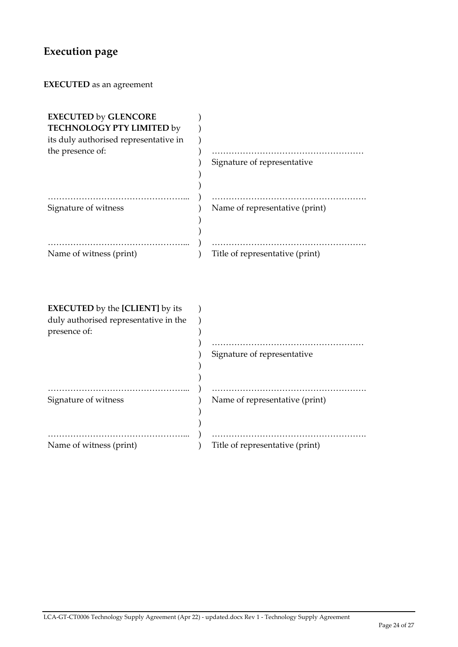# **Execution page**

**EXECUTED** as an agreement

| <b>EXECUTED by GLENCORE</b>            |                                 |
|----------------------------------------|---------------------------------|
| TECHNOLOGY PTY LIMITED by              |                                 |
| its duly authorised representative in  |                                 |
| the presence of:                       |                                 |
|                                        | Signature of representative     |
|                                        |                                 |
|                                        |                                 |
|                                        |                                 |
| Signature of witness                   | Name of representative (print)  |
|                                        |                                 |
|                                        |                                 |
|                                        |                                 |
| Name of witness (print)                | Title of representative (print) |
|                                        |                                 |
|                                        |                                 |
|                                        |                                 |
|                                        |                                 |
| <b>EXECUTED</b> by the [CLIENT] by its |                                 |
| duly authorised representative in the  |                                 |
| presence of:                           |                                 |
|                                        |                                 |
|                                        | Signature of representative     |
|                                        |                                 |
|                                        |                                 |
|                                        |                                 |
|                                        |                                 |
| Signature of witness                   | Name of representative (print)  |
|                                        |                                 |
|                                        |                                 |
|                                        |                                 |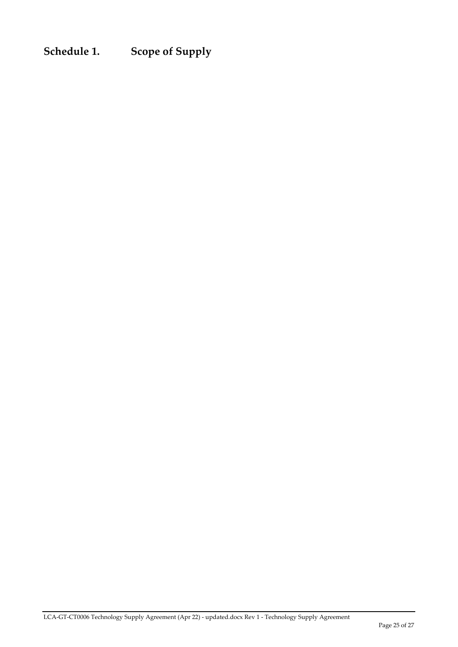**Schedule 1. Scope of Supply**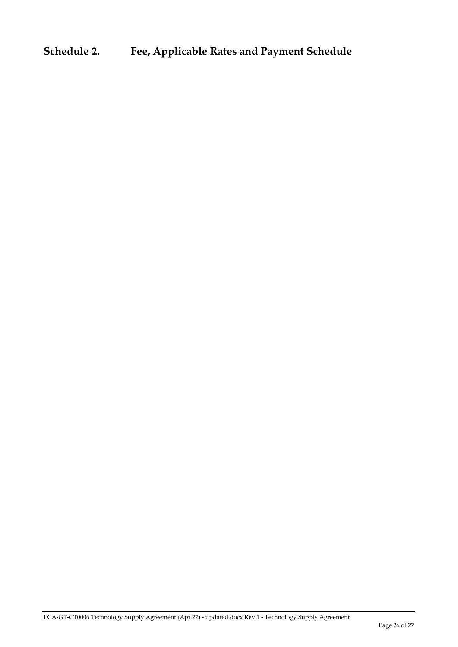## **Schedule 2. Fee, Applicable Rates and Payment Schedule**